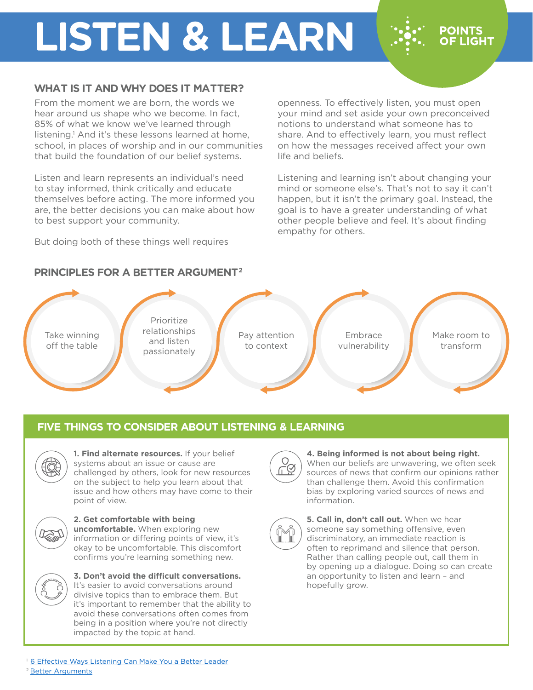# **LISTEN & LEARN**

### **WHAT IS IT AND WHY DOES IT MATTER?**

From the moment we are born, the words we hear around us shape who we become. In fact, 85% of what we know we've learned through listening.<sup>1</sup> And it's these lessons learned at home, school, in places of worship and in our communities that build the foundation of our belief systems.

Listen and learn represents an individual's need to stay informed, think critically and educate themselves before acting. The more informed you are, the better decisions you can make about how to best support your community.

But doing both of these things well requires

openness. To effectively listen, you must open your mind and set aside your own preconceived notions to understand what someone has to share. And to effectively learn, you must reflect on how the messages received affect your own life and beliefs.

**POINTS OF LIGHT** 

Listening and learning isn't about changing your mind or someone else's. That's not to say it can't happen, but it isn't the primary goal. Instead, the goal is to have a greater understanding of what other people believe and feel. It's about finding empathy for others.

### **PRINCIPLES FOR A BETTER ARGUMENT2**

Take winning off the table Prioritize relationships and listen passionately Pay attention to context Embrace vulnerability Make room to transform

## **FIVE THINGS TO CONSIDER ABOUT LISTENING & LEARNING**



**1. Find alternate resources.** If your belief systems about an issue or cause are challenged by others, look for new resources on the subject to help you learn about that issue and how others may have come to their point of view.



**2. Get comfortable with being uncomfortable.** When exploring new information or differing points of view, it's okay to be uncomfortable. This discomfort confirms you're learning something new.



**3. Don't avoid the difficult conversations.** It's easier to avoid conversations around divisive topics than to embrace them. But it's important to remember that the ability to avoid these conversations often comes from being in a position where you're not directly impacted by the topic at hand.



#### **4. Being informed is not about being right.**

When our beliefs are unwavering, we often seek sources of news that confirm our opinions rather than challenge them. Avoid this confirmation bias by exploring varied sources of news and information.



**5. Call in, don't call out.** When we hear someone say something offensive, even discriminatory, an immediate reaction is often to reprimand and silence that person. Rather than calling people out, call them in by opening up a dialogue. Doing so can create an opportunity to listen and learn – and hopefully grow.